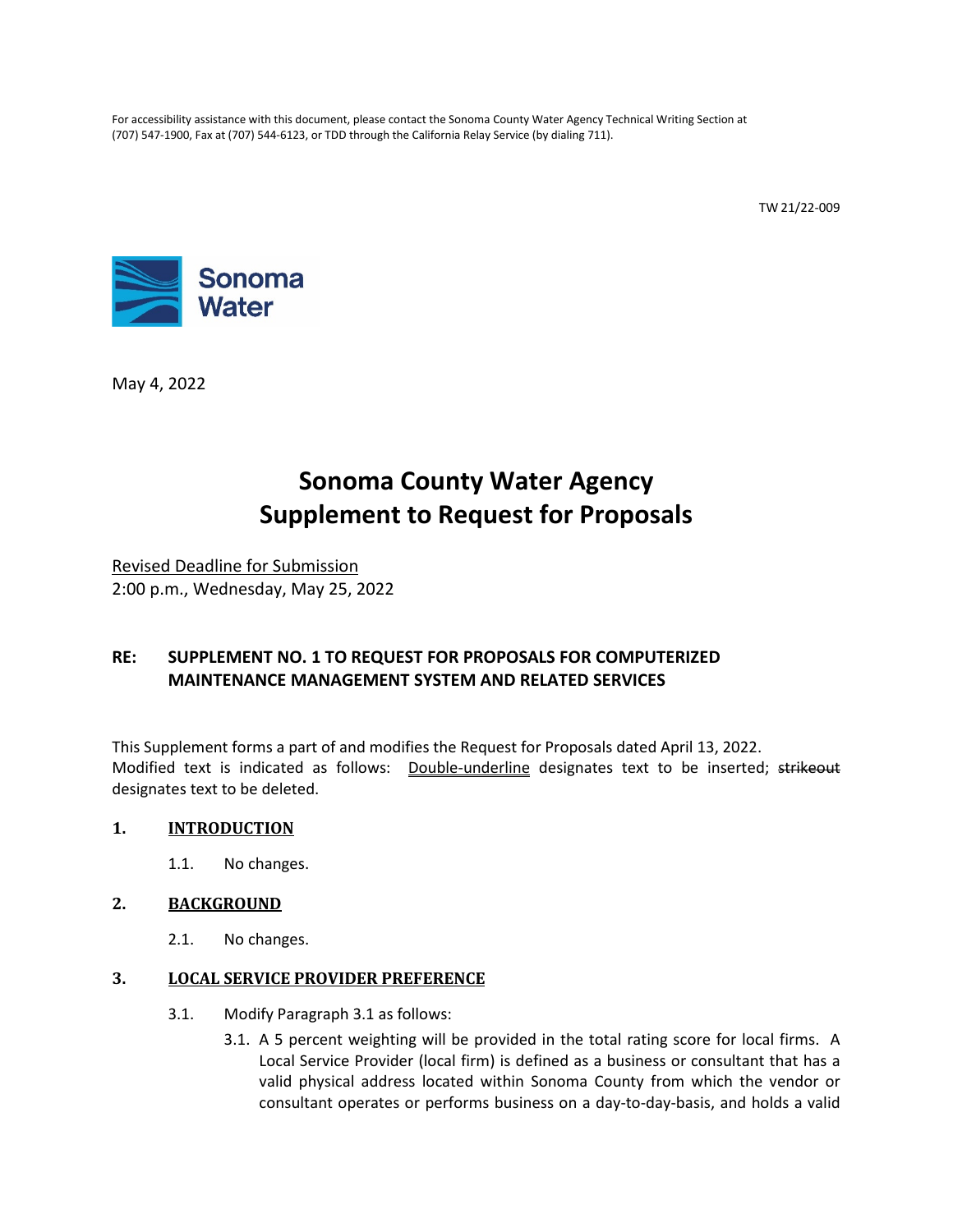For accessibility assistance with this document, please contact the Sonoma County Water Agency Technical Writing Section at (707) 547-1900, Fax at (707) 544-6123, or TDD through the California Relay Service (by dialing 711).

TW 21/22-009



May 4, 2022

# **Sonoma County Water Agency Supplement to Request for Proposals**

Revised Deadline for Submission 2:00 p.m., Wednesday, May 25, 2022

# **RE: SUPPLEMENT NO. 1 TO REQUEST FOR PROPOSALS FOR COMPUTERIZED MAINTENANCE MANAGEMENT SYSTEM AND RELATED SERVICES**

This Supplement forms a part of and modifies the Request for Proposals dated April 13, 2022. Modified text is indicated as follows: Double-underline designates text to be inserted; strikeout designates text to be deleted.

#### **1. INTRODUCTION**

1.1. No changes.

#### **2. BACKGROUND**

2.1. No changes.

#### **3. LOCAL SERVICE PROVIDER PREFERENCE**

- 3.1. Modify Paragraph 3.1 as follows:
	- 3.1. A 5 percent weighting will be provided in the total rating score for local firms. A Local Service Provider (local firm) is defined as a business or consultant that has a valid physical address located within Sonoma County from which the vendor or consultant operates or performs business on a day-to-day-basis, and holds a valid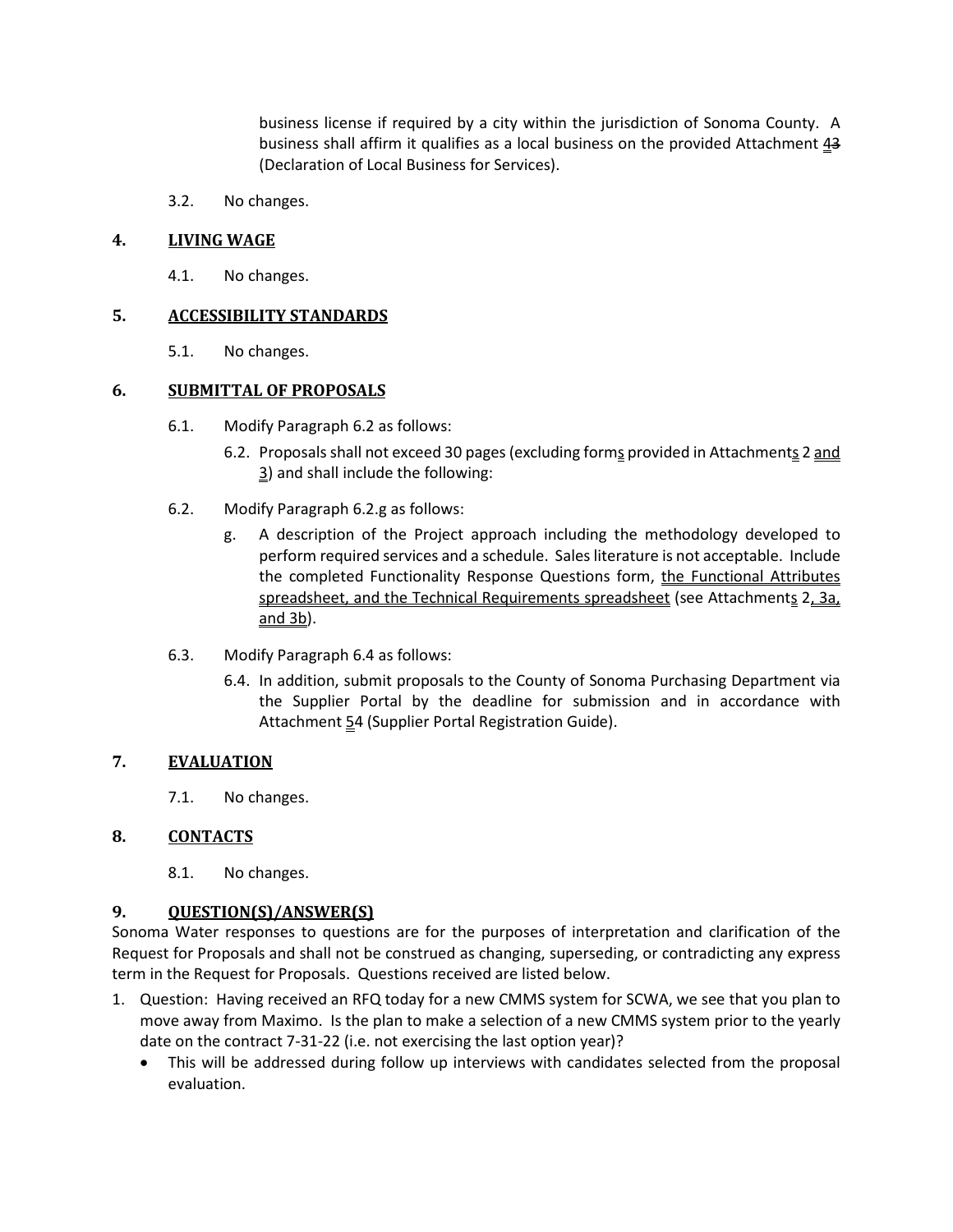business license if required by a city within the jurisdiction of Sonoma County. A business shall affirm it qualifies as a local business on the provided Attachment  $43$ (Declaration of Local Business for Services).

3.2. No changes.

## **4. LIVING WAGE**

4.1. No changes.

## **5. ACCESSIBILITY STANDARDS**

5.1. No changes.

## **6. SUBMITTAL OF PROPOSALS**

- 6.1. Modify Paragraph 6.2 as follows:
	- 6.2. Proposals shall not exceed 30 pages (excluding forms provided in Attachments 2 and 3) and shall include the following:
- 6.2. Modify Paragraph 6.2.g as follows:
	- g. A description of the Project approach including the methodology developed to perform required services and a schedule. Sales literature is not acceptable. Include the completed Functionality Response Questions form, the Functional Attributes spreadsheet, and the Technical Requirements spreadsheet (see Attachments 2, 3a, and 3b).
- 6.3. Modify Paragraph 6.4 as follows:
	- 6.4. In addition, submit proposals to the County of Sonoma Purchasing Department via the Supplier Portal by the deadline for submission and in accordance with Attachment 54 (Supplier Portal Registration Guide).

# **7. EVALUATION**

7.1. No changes.

#### **8. CONTACTS**

8.1. No changes.

# **9. QUESTION(S)/ANSWER(S)**

Sonoma Water responses to questions are for the purposes of interpretation and clarification of the Request for Proposals and shall not be construed as changing, superseding, or contradicting any express term in the Request for Proposals. Questions received are listed below.

- 1. Question: Having received an RFQ today for a new CMMS system for SCWA, we see that you plan to move away from Maximo. Is the plan to make a selection of a new CMMS system prior to the yearly date on the contract 7-31-22 (i.e. not exercising the last option year)?
	- This will be addressed during follow up interviews with candidates selected from the proposal evaluation.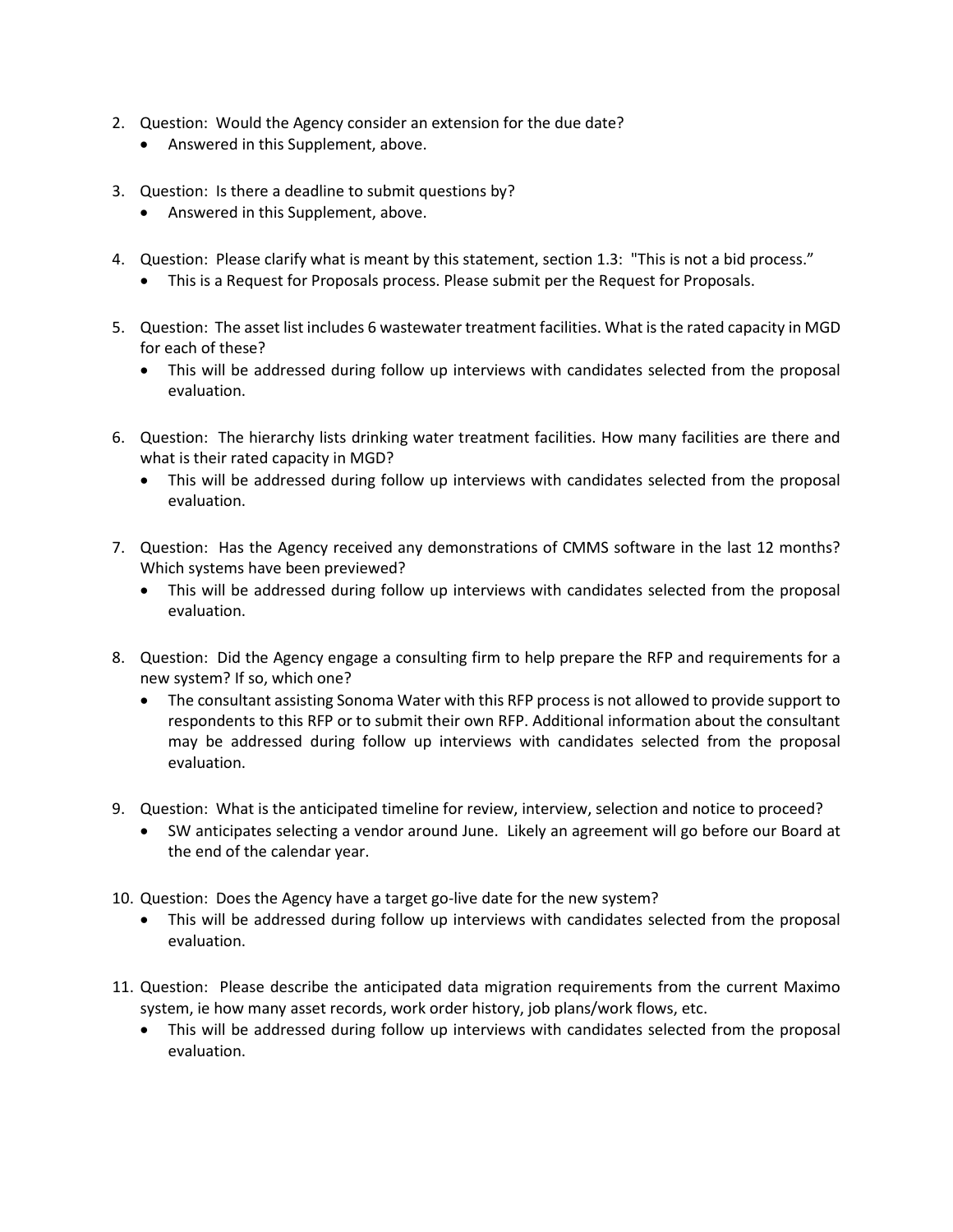- 2. Question: Would the Agency consider an extension for the due date?
	- Answered in this Supplement, above.
- 3. Question: Is there a deadline to submit questions by?
	- Answered in this Supplement, above.
- 4. Question: Please clarify what is meant by this statement, section 1.3: "This is not a bid process."
	- This is a Request for Proposals process. Please submit per the Request for Proposals.
- 5. Question: The asset list includes 6 wastewater treatment facilities. What is the rated capacity in MGD for each of these?
	- This will be addressed during follow up interviews with candidates selected from the proposal evaluation.
- 6. Question: The hierarchy lists drinking water treatment facilities. How many facilities are there and what is their rated capacity in MGD?
	- This will be addressed during follow up interviews with candidates selected from the proposal evaluation.
- 7. Question: Has the Agency received any demonstrations of CMMS software in the last 12 months? Which systems have been previewed?
	- This will be addressed during follow up interviews with candidates selected from the proposal evaluation.
- 8. Question: Did the Agency engage a consulting firm to help prepare the RFP and requirements for a new system? If so, which one?
	- The consultant assisting Sonoma Water with this RFP process is not allowed to provide support to respondents to this RFP or to submit their own RFP. Additional information about the consultant may be addressed during follow up interviews with candidates selected from the proposal evaluation.
- 9. Question: What is the anticipated timeline for review, interview, selection and notice to proceed?
	- SW anticipates selecting a vendor around June. Likely an agreement will go before our Board at the end of the calendar year.
- 10. Question: Does the Agency have a target go-live date for the new system?
	- This will be addressed during follow up interviews with candidates selected from the proposal evaluation.
- 11. Question: Please describe the anticipated data migration requirements from the current Maximo system, ie how many asset records, work order history, job plans/work flows, etc.
	- This will be addressed during follow up interviews with candidates selected from the proposal evaluation.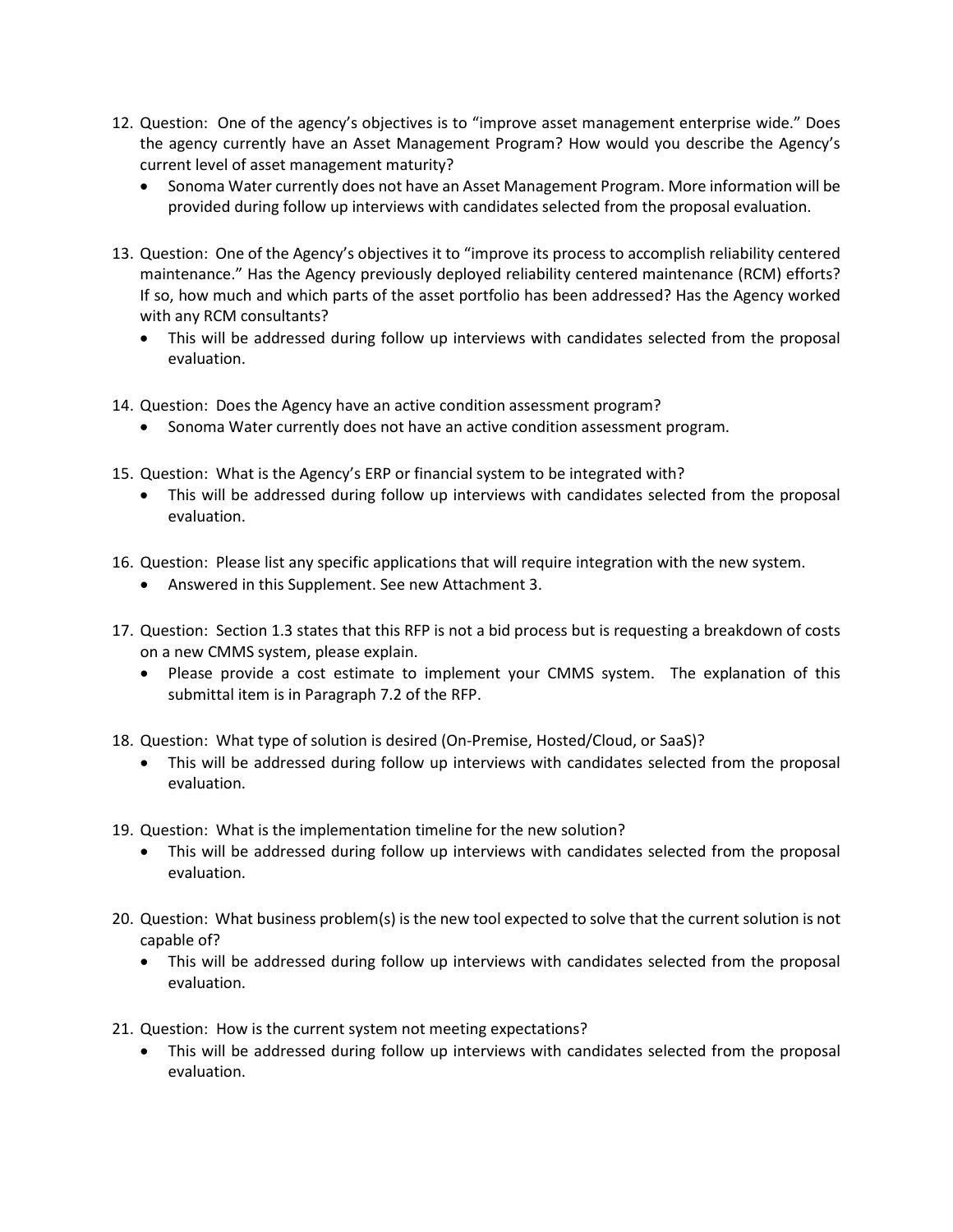- 12. Question: One of the agency's objectives is to "improve asset management enterprise wide." Does the agency currently have an Asset Management Program? How would you describe the Agency's current level of asset management maturity?
	- Sonoma Water currently does not have an Asset Management Program. More information will be provided during follow up interviews with candidates selected from the proposal evaluation.
- 13. Question: One of the Agency's objectives it to "improve its process to accomplish reliability centered maintenance." Has the Agency previously deployed reliability centered maintenance (RCM) efforts? If so, how much and which parts of the asset portfolio has been addressed? Has the Agency worked with any RCM consultants?
	- This will be addressed during follow up interviews with candidates selected from the proposal evaluation.
- 14. Question: Does the Agency have an active condition assessment program?
	- Sonoma Water currently does not have an active condition assessment program.
- 15. Question: What is the Agency's ERP or financial system to be integrated with?
	- This will be addressed during follow up interviews with candidates selected from the proposal evaluation.
- 16. Question: Please list any specific applications that will require integration with the new system.
	- Answered in this Supplement. See new Attachment 3.
- 17. Question: Section 1.3 states that this RFP is not a bid process but is requesting a breakdown of costs on a new CMMS system, please explain.
	- Please provide a cost estimate to implement your CMMS system. The explanation of this submittal item is in Paragraph 7.2 of the RFP.
- 18. Question: What type of solution is desired (On-Premise, Hosted/Cloud, or SaaS)?
	- This will be addressed during follow up interviews with candidates selected from the proposal evaluation.
- 19. Question: What is the implementation timeline for the new solution?
	- This will be addressed during follow up interviews with candidates selected from the proposal evaluation.
- 20. Question: What business problem(s) is the new tool expected to solve that the current solution is not capable of?
	- This will be addressed during follow up interviews with candidates selected from the proposal evaluation.
- 21. Question: How is the current system not meeting expectations?
	- This will be addressed during follow up interviews with candidates selected from the proposal evaluation.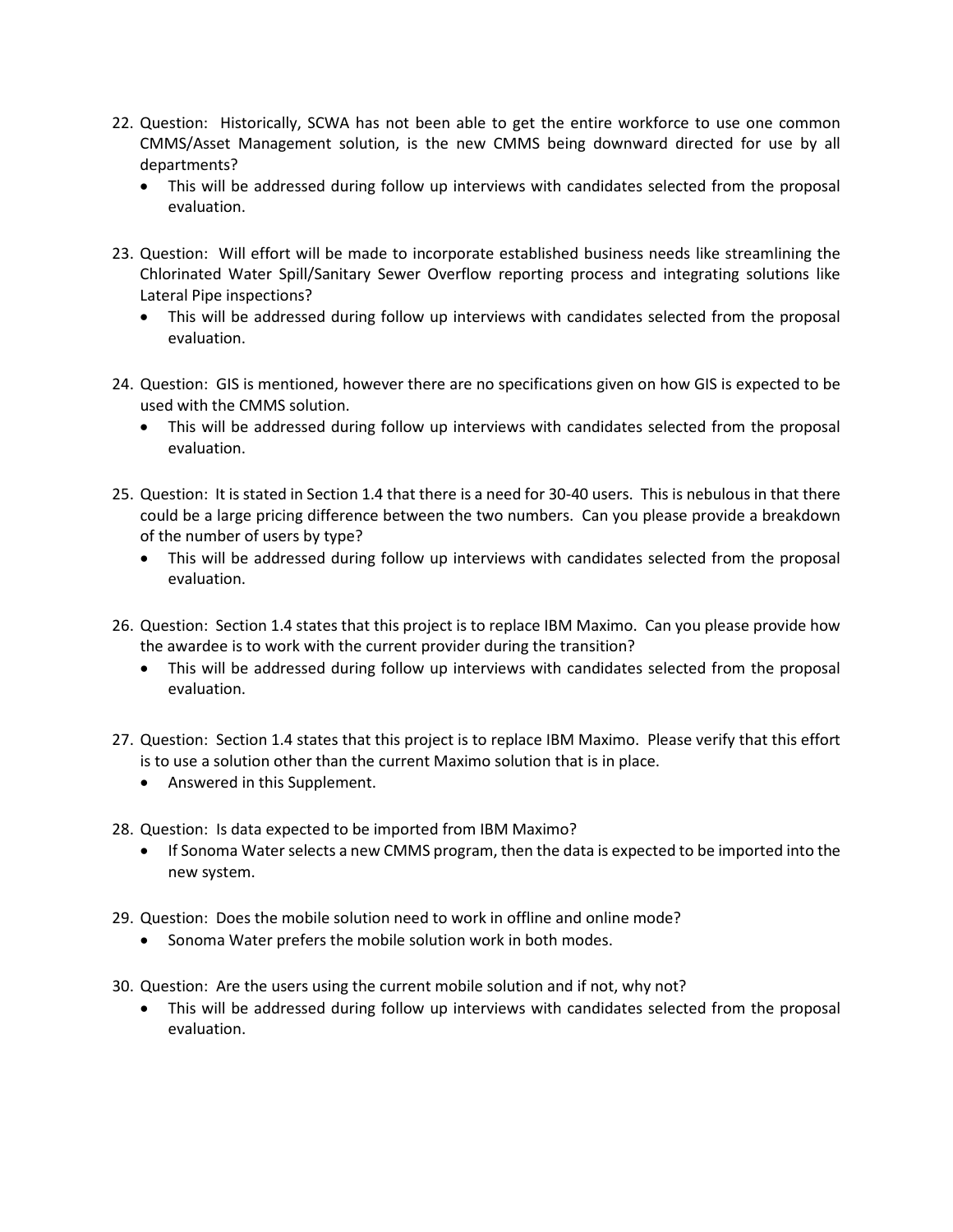- 22. Question: Historically, SCWA has not been able to get the entire workforce to use one common CMMS/Asset Management solution, is the new CMMS being downward directed for use by all departments?
	- This will be addressed during follow up interviews with candidates selected from the proposal evaluation.
- 23. Question: Will effort will be made to incorporate established business needs like streamlining the Chlorinated Water Spill/Sanitary Sewer Overflow reporting process and integrating solutions like Lateral Pipe inspections?
	- This will be addressed during follow up interviews with candidates selected from the proposal evaluation.
- 24. Question: GIS is mentioned, however there are no specifications given on how GIS is expected to be used with the CMMS solution.
	- This will be addressed during follow up interviews with candidates selected from the proposal evaluation.
- 25. Question: It is stated in Section 1.4 that there is a need for 30-40 users. This is nebulous in that there could be a large pricing difference between the two numbers. Can you please provide a breakdown of the number of users by type?
	- This will be addressed during follow up interviews with candidates selected from the proposal evaluation.
- 26. Question: Section 1.4 states that this project is to replace IBM Maximo. Can you please provide how the awardee is to work with the current provider during the transition?
	- This will be addressed during follow up interviews with candidates selected from the proposal evaluation.
- 27. Question: Section 1.4 states that this project is to replace IBM Maximo. Please verify that this effort is to use a solution other than the current Maximo solution that is in place.
	- Answered in this Supplement.
- 28. Question: Is data expected to be imported from IBM Maximo?
	- If Sonoma Water selects a new CMMS program, then the data is expected to be imported into the new system.
- 29. Question: Does the mobile solution need to work in offline and online mode?
	- Sonoma Water prefers the mobile solution work in both modes.
- 30. Question: Are the users using the current mobile solution and if not, why not?
	- This will be addressed during follow up interviews with candidates selected from the proposal evaluation.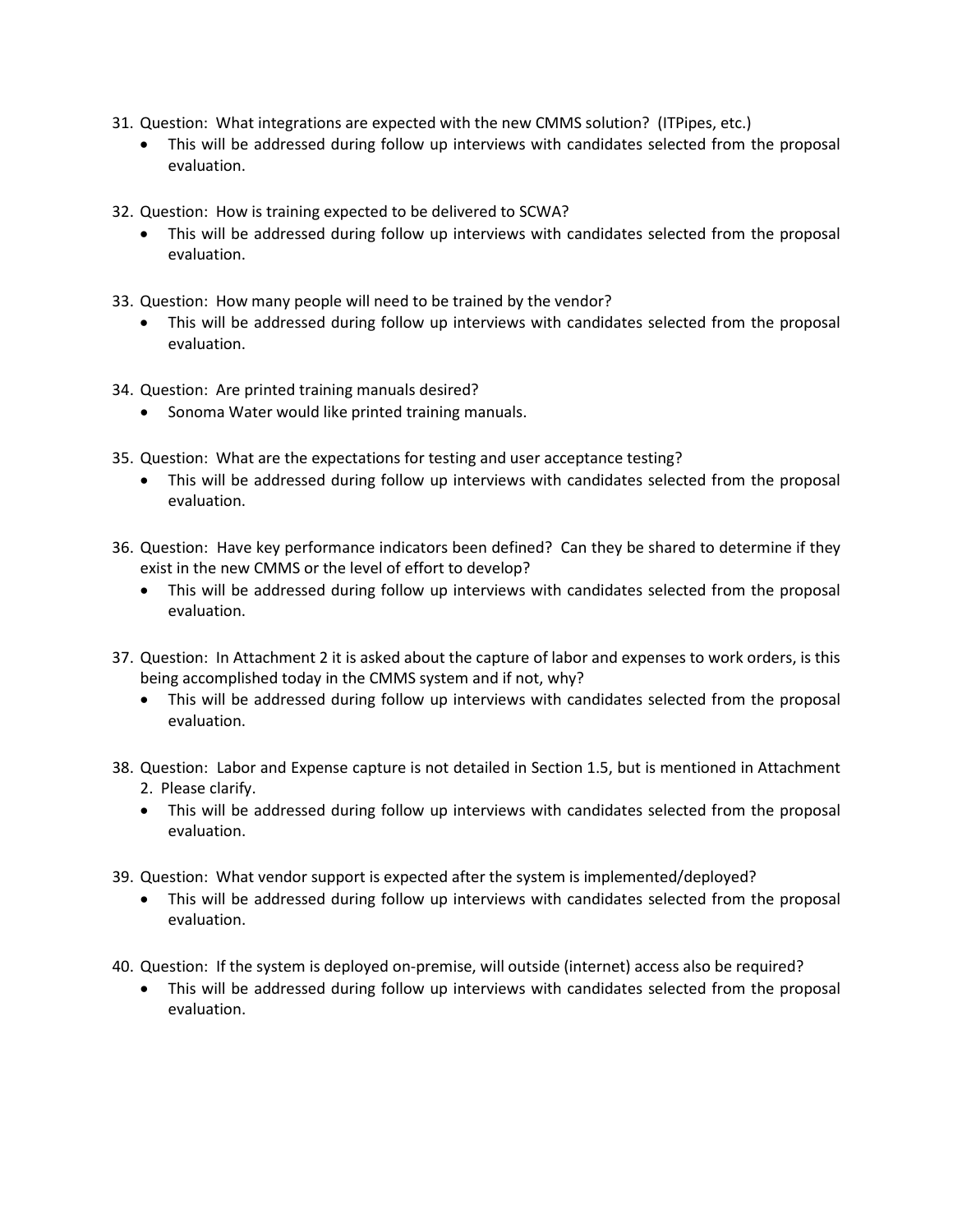- 31. Question: What integrations are expected with the new CMMS solution? (ITPipes, etc.)
	- This will be addressed during follow up interviews with candidates selected from the proposal evaluation.
- 32. Question: How is training expected to be delivered to SCWA?
	- This will be addressed during follow up interviews with candidates selected from the proposal evaluation.
- 33. Question: How many people will need to be trained by the vendor?
	- This will be addressed during follow up interviews with candidates selected from the proposal evaluation.
- 34. Question: Are printed training manuals desired?
	- Sonoma Water would like printed training manuals.
- 35. Question: What are the expectations for testing and user acceptance testing?
	- This will be addressed during follow up interviews with candidates selected from the proposal evaluation.
- 36. Question: Have key performance indicators been defined? Can they be shared to determine if they exist in the new CMMS or the level of effort to develop?
	- This will be addressed during follow up interviews with candidates selected from the proposal evaluation.
- 37. Question: In Attachment 2 it is asked about the capture of labor and expenses to work orders, is this being accomplished today in the CMMS system and if not, why?
	- This will be addressed during follow up interviews with candidates selected from the proposal evaluation.
- 38. Question: Labor and Expense capture is not detailed in Section 1.5, but is mentioned in Attachment 2. Please clarify.
	- This will be addressed during follow up interviews with candidates selected from the proposal evaluation.
- 39. Question: What vendor support is expected after the system is implemented/deployed?
	- This will be addressed during follow up interviews with candidates selected from the proposal evaluation.
- 40. Question: If the system is deployed on-premise, will outside (internet) access also be required?
	- This will be addressed during follow up interviews with candidates selected from the proposal evaluation.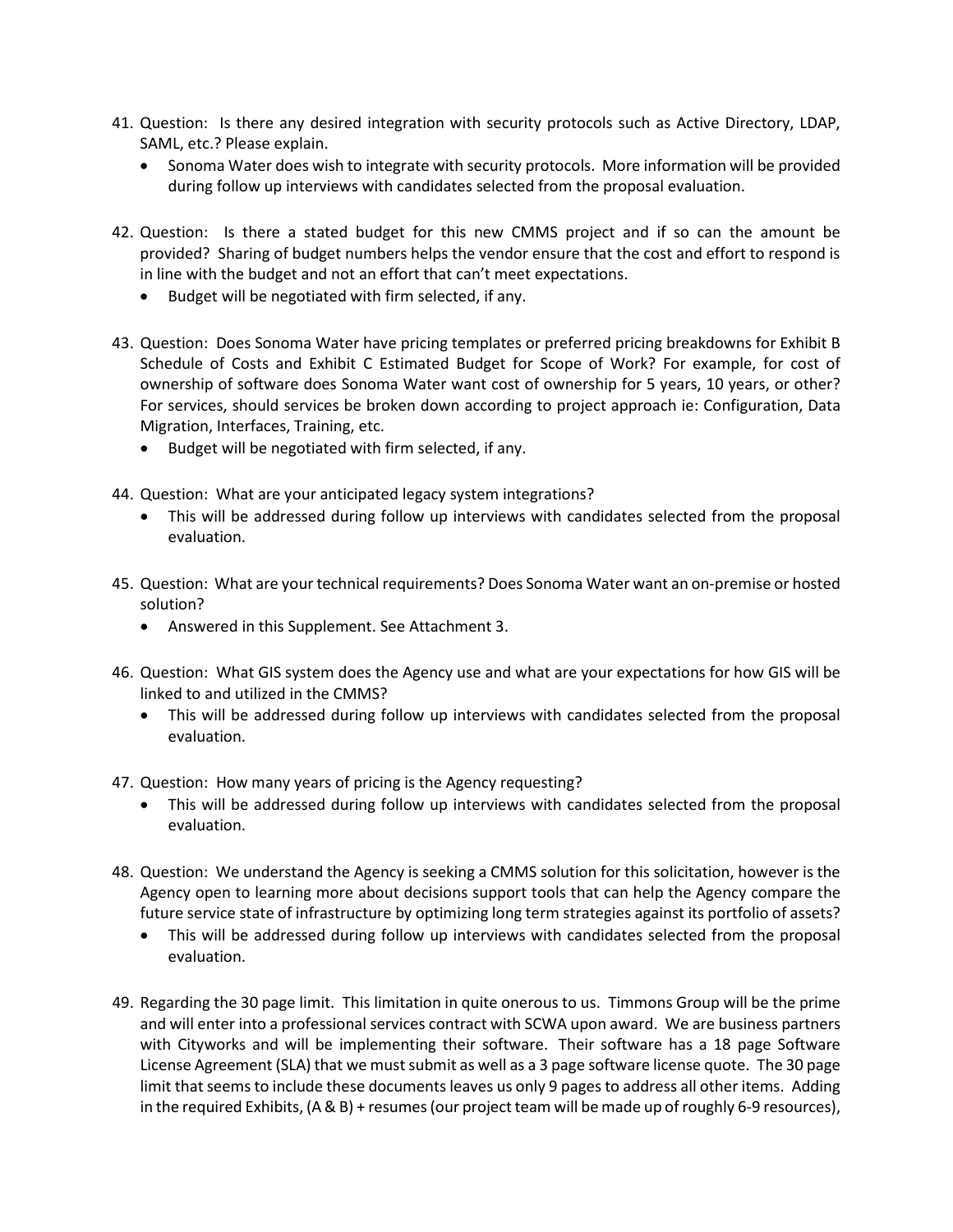- 41. Question: Is there any desired integration with security protocols such as Active Directory, LDAP, SAML, etc.? Please explain.
	- Sonoma Water does wish to integrate with security protocols. More information will be provided during follow up interviews with candidates selected from the proposal evaluation.
- 42. Question: Is there a stated budget for this new CMMS project and if so can the amount be provided? Sharing of budget numbers helps the vendor ensure that the cost and effort to respond is in line with the budget and not an effort that can't meet expectations.
	- Budget will be negotiated with firm selected, if any.
- 43. Question: Does Sonoma Water have pricing templates or preferred pricing breakdowns for Exhibit B Schedule of Costs and Exhibit C Estimated Budget for Scope of Work? For example, for cost of ownership of software does Sonoma Water want cost of ownership for 5 years, 10 years, or other? For services, should services be broken down according to project approach ie: Configuration, Data Migration, Interfaces, Training, etc.
	- Budget will be negotiated with firm selected, if any.
- 44. Question: What are your anticipated legacy system integrations?
	- This will be addressed during follow up interviews with candidates selected from the proposal evaluation.
- 45. Question: What are your technical requirements? Does Sonoma Water want an on-premise or hosted solution?
	- Answered in this Supplement. See Attachment 3.
- 46. Question: What GIS system does the Agency use and what are your expectations for how GIS will be linked to and utilized in the CMMS?
	- This will be addressed during follow up interviews with candidates selected from the proposal evaluation.
- 47. Question: How many years of pricing is the Agency requesting?
	- This will be addressed during follow up interviews with candidates selected from the proposal evaluation.
- 48. Question: We understand the Agency is seeking a CMMS solution for this solicitation, however is the Agency open to learning more about decisions support tools that can help the Agency compare the future service state of infrastructure by optimizing long term strategies against its portfolio of assets?
	- This will be addressed during follow up interviews with candidates selected from the proposal evaluation.
- 49. Regarding the 30 page limit. This limitation in quite onerous to us. Timmons Group will be the prime and will enter into a professional services contract with SCWA upon award. We are business partners with Cityworks and will be implementing their software. Their software has a 18 page Software License Agreement (SLA) that we must submit as well as a 3 page software license quote. The 30 page limit that seems to include these documents leaves us only 9 pages to address all other items. Adding in the required Exhibits, (A & B) + resumes (our project team will be made up of roughly 6-9 resources),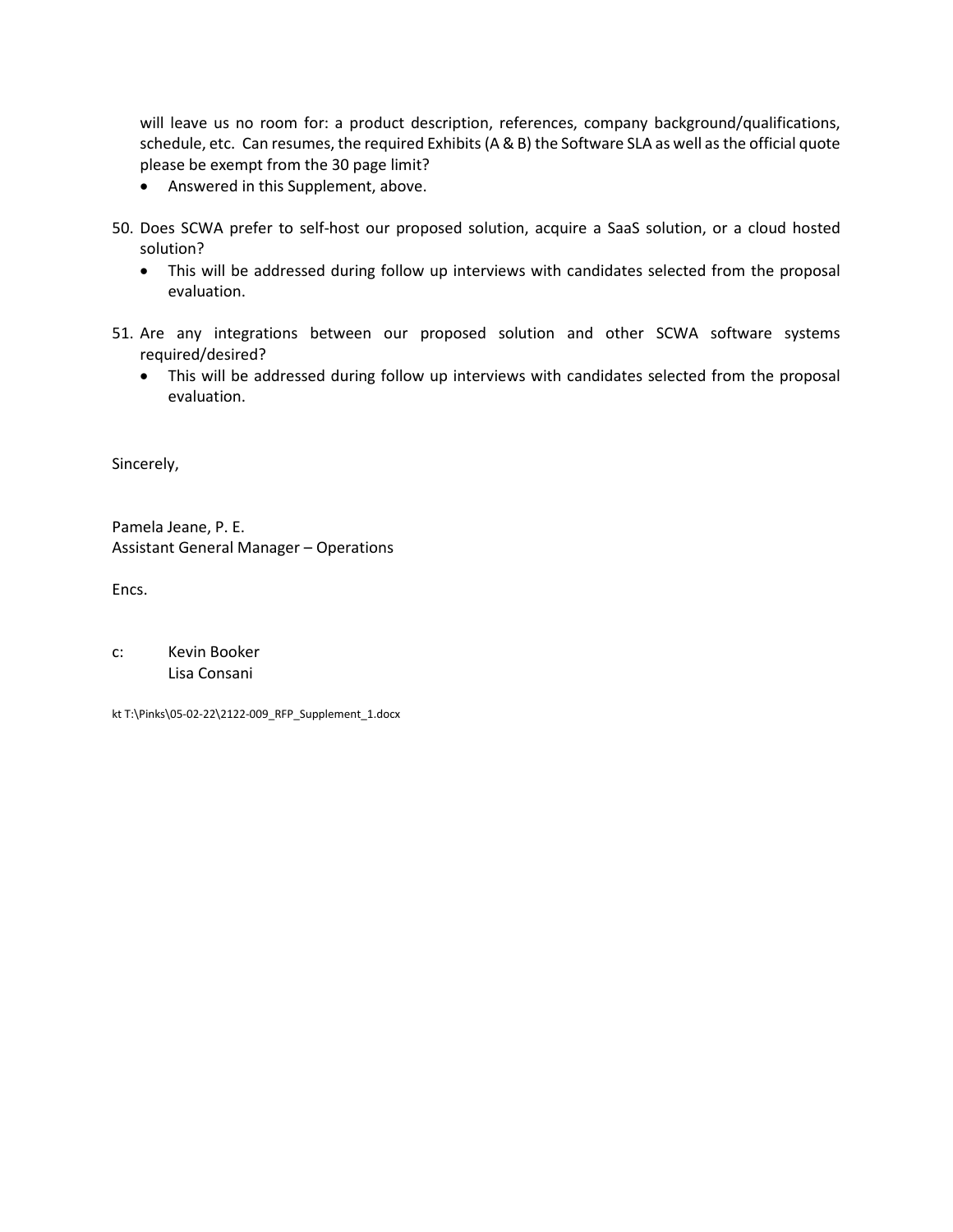will leave us no room for: a product description, references, company background/qualifications, schedule, etc. Can resumes, the required Exhibits (A & B) the Software SLA as well as the official quote please be exempt from the 30 page limit?

- Answered in this Supplement, above.
- 50. Does SCWA prefer to self-host our proposed solution, acquire a SaaS solution, or a cloud hosted solution?
	- This will be addressed during follow up interviews with candidates selected from the proposal evaluation.
- 51. Are any integrations between our proposed solution and other SCWA software systems required/desired?
	- This will be addressed during follow up interviews with candidates selected from the proposal evaluation.

Sincerely,

Pamela Jeane, P. E. Assistant General Manager – Operations

Encs.

| C: | Kevin Booker |
|----|--------------|
|    | Lisa Consani |

kt T:\Pinks\05-02-22\2122-009\_RFP\_Supplement\_1.docx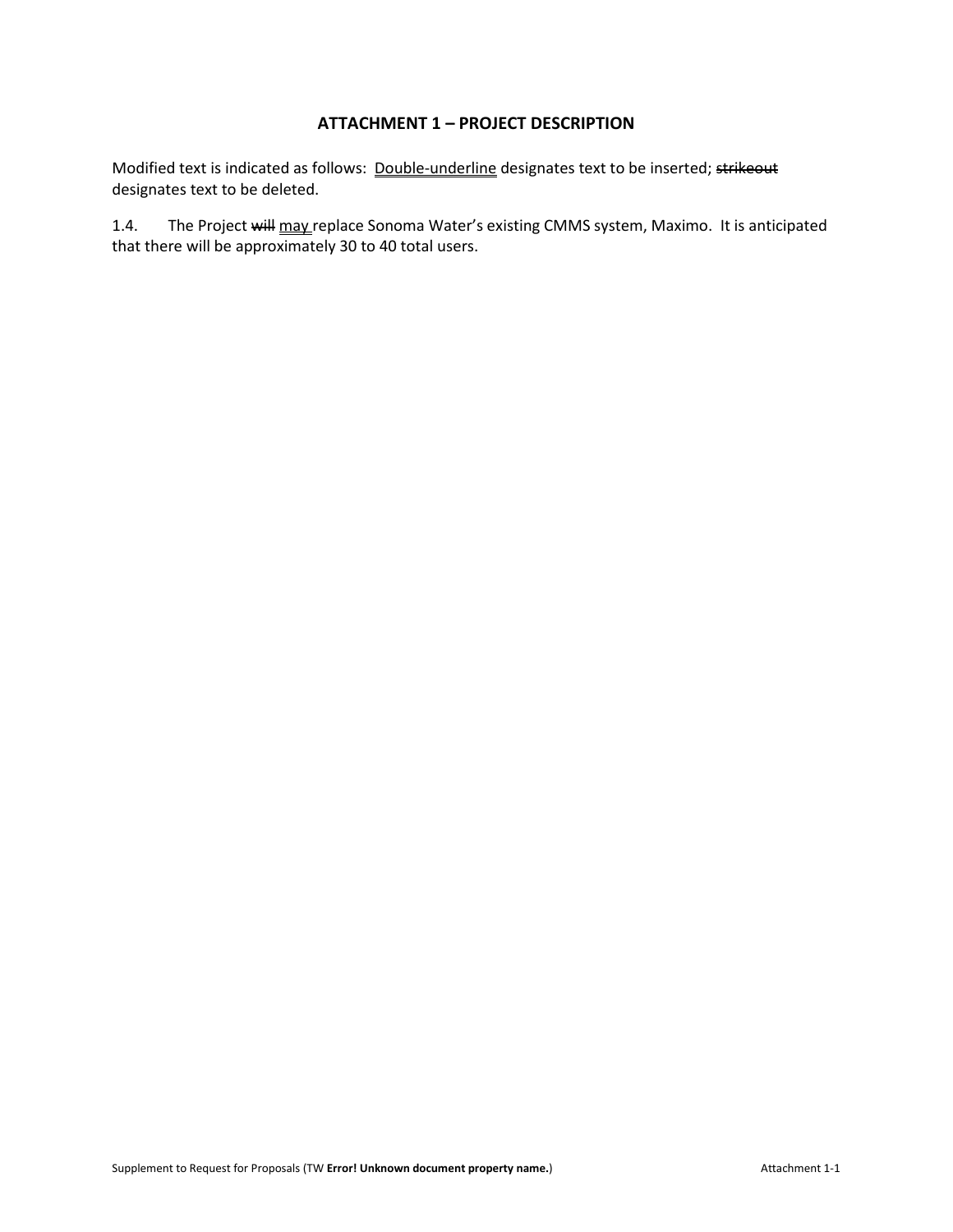# **ATTACHMENT 1 – PROJECT DESCRIPTION**

Modified text is indicated as follows: Double-underline designates text to be inserted; strikeout designates text to be deleted.

1.4. The Project will may replace Sonoma Water's existing CMMS system, Maximo. It is anticipated that there will be approximately 30 to 40 total users.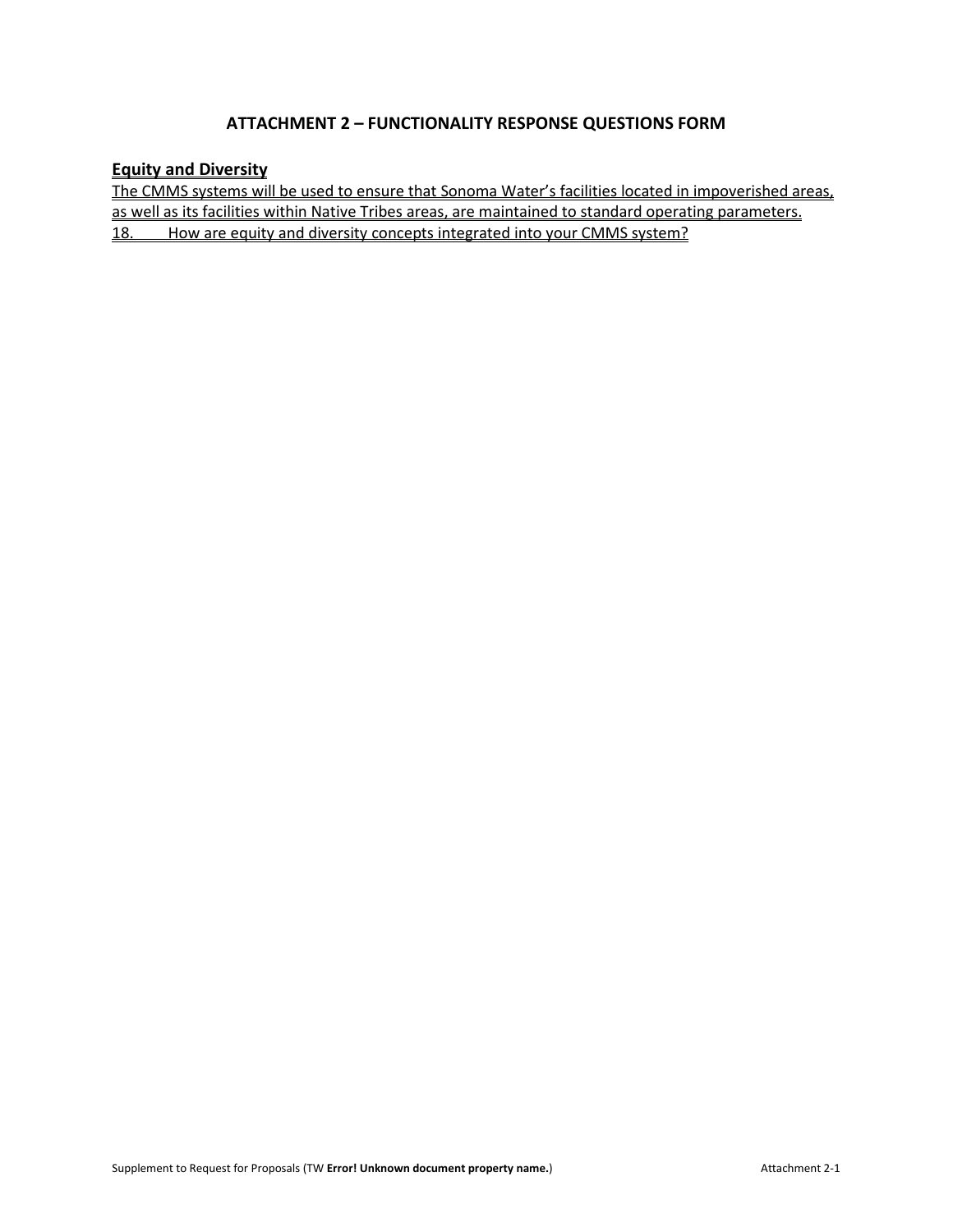# **ATTACHMENT 2 – FUNCTIONALITY RESPONSE QUESTIONS FORM**

## **Equity and Diversity**

The CMMS systems will be used to ensure that Sonoma Water's facilities located in impoverished areas, as well as its facilities within Native Tribes areas, are maintained to standard operating parameters. 18. How are equity and diversity concepts integrated into your CMMS system?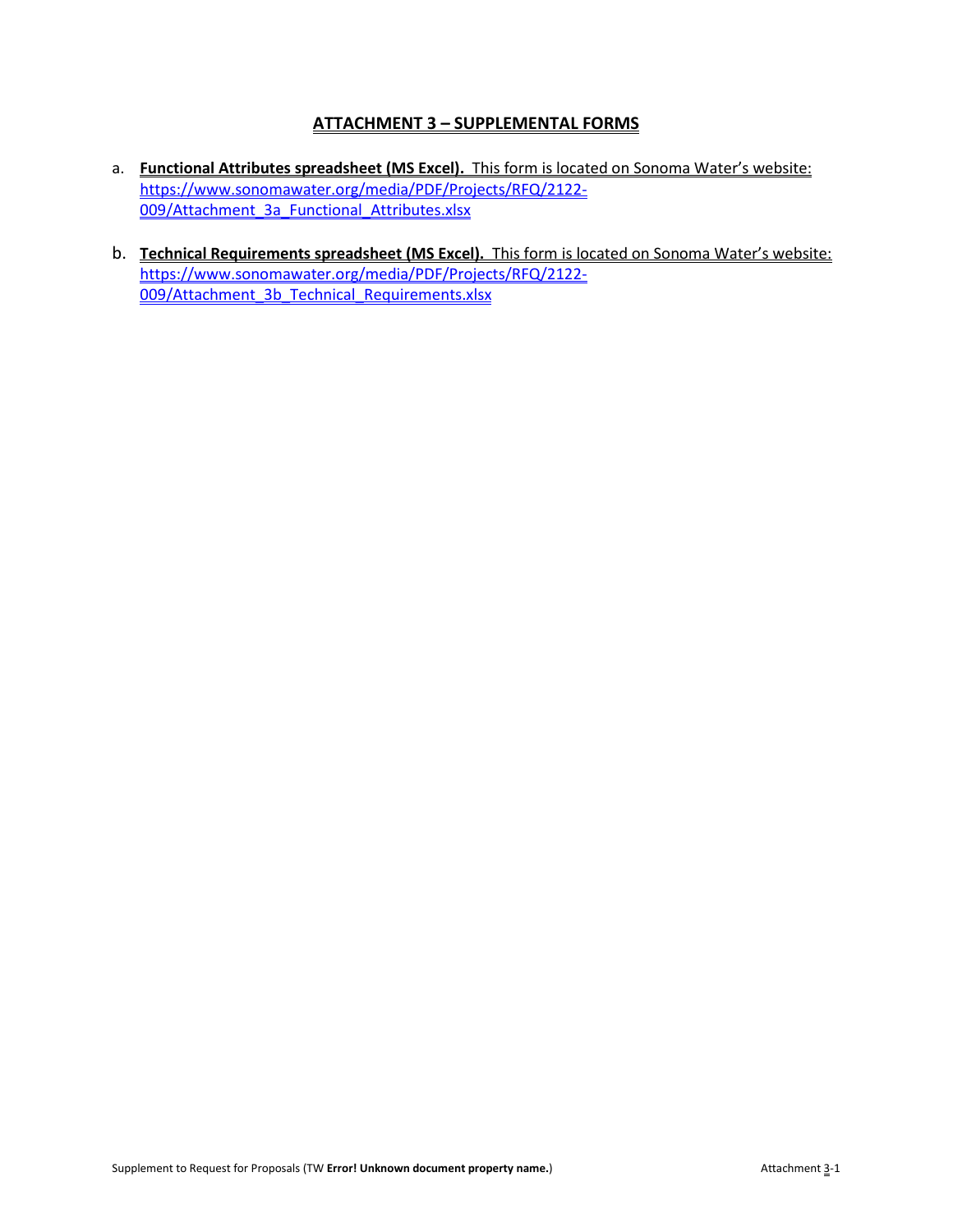# **ATTACHMENT 3 – SUPPLEMENTAL FORMS**

- a. **Functional Attributes spreadsheet (MS Excel).** This form is located on Sonoma Water's website: [https://www.sonomawater.org/media/PDF/Projects/RFQ/2122-](https://www.sonomawater.org/media/PDF/Projects/RFQ/2122-009/Attachment_3a_Functional_Attributes.xlsx) [009/Attachment\\_3a\\_Functional\\_Attributes.xlsx](https://www.sonomawater.org/media/PDF/Projects/RFQ/2122-009/Attachment_3a_Functional_Attributes.xlsx)
- b. **Technical Requirements spreadsheet (MS Excel).** This form is located on Sonoma Water's website: [https://www.sonomawater.org/media/PDF/Projects/RFQ/2122-](https://www.sonomawater.org/media/PDF/Projects/RFQ/2122-009/Attachment_3b_Technical_Requirements.xlsx) [009/Attachment\\_3b\\_Technical\\_Requirements.xlsx](https://www.sonomawater.org/media/PDF/Projects/RFQ/2122-009/Attachment_3b_Technical_Requirements.xlsx)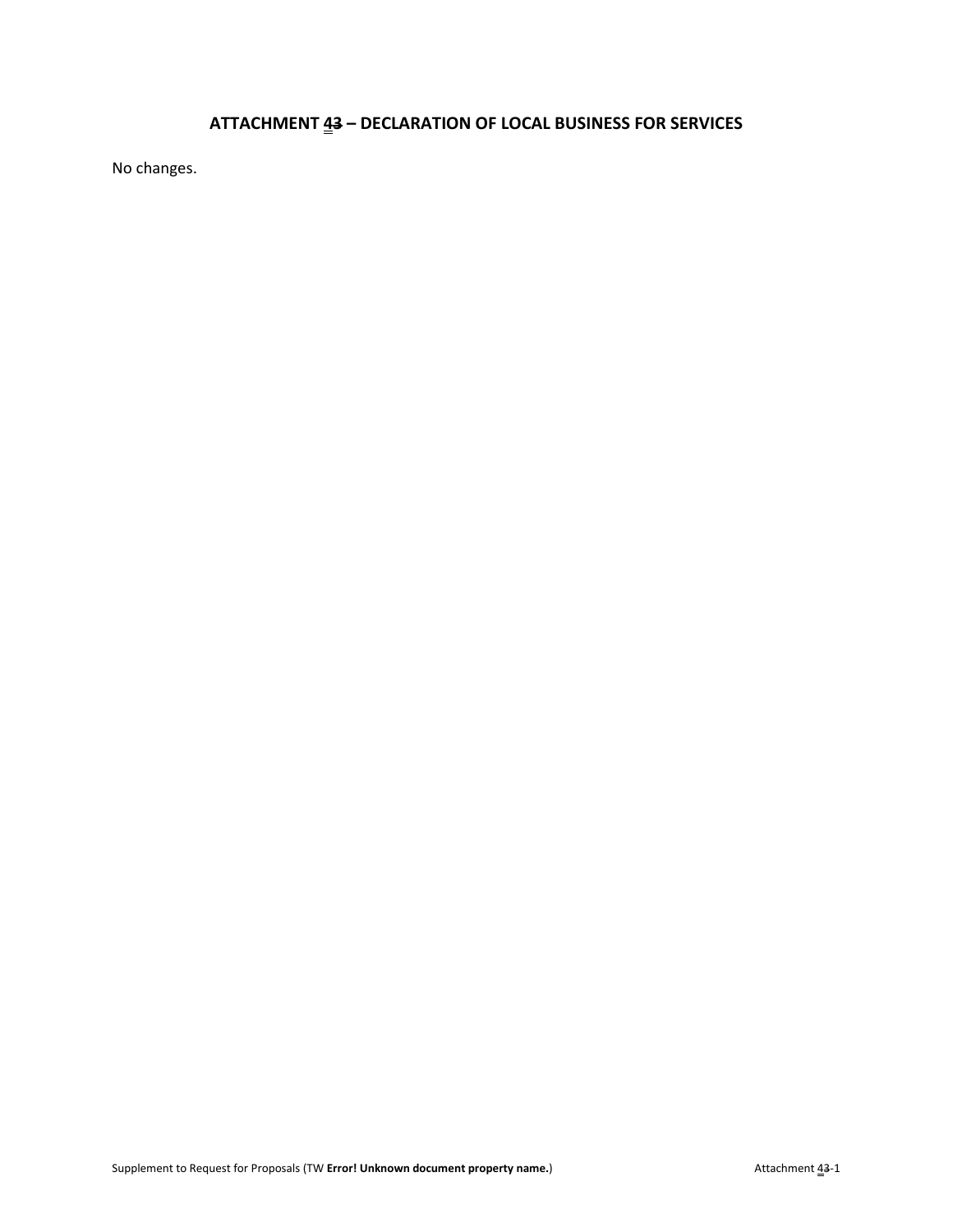# **ATTACHMENT 43 – DECLARATION OF LOCAL BUSINESS FOR SERVICES**

No changes.